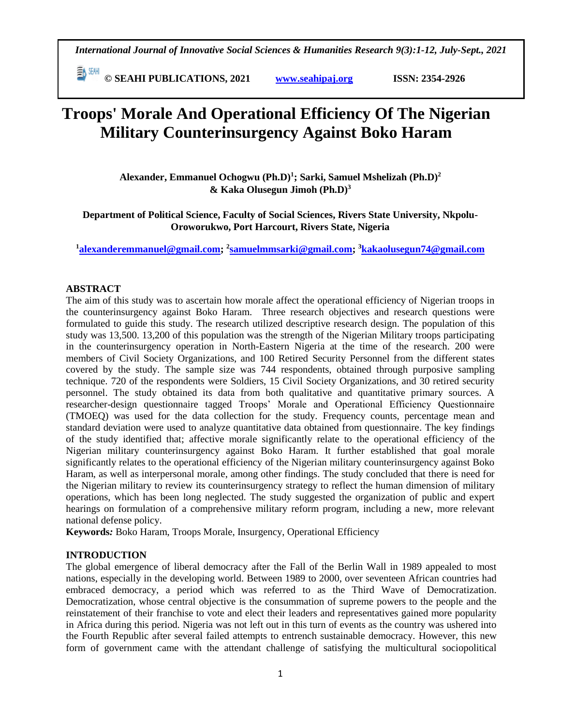**© SEAHI PUBLICATIONS, 2021 [www.seahipaj.org](http://www.seahipaj.org/) ISSN: 2354-2926** 

# **Troops' Morale And Operational Efficiency Of The Nigerian Military Counterinsurgency Against Boko Haram**

**Alexander, Emmanuel Ochogwu (Ph.D)<sup>1</sup> ; Sarki, Samuel Mshelizah (Ph.D)<sup>2</sup> & Kaka Olusegun Jimoh (Ph.D)<sup>3</sup>**

**Department of Political Science, Faculty of Social Sciences, Rivers State University, Nkpolu-Oroworukwo, Port Harcourt, Rivers State, Nigeria**

**<sup>1</sup>[alexanderemmanuel@gmail.com;](mailto:alexanderemmanuel@gmail.com) <sup>2</sup> [samuelmmsarki@gmail.com;](mailto:samuelmmsarki@gmail.com) <sup>3</sup>[kakaolusegun74@gmail.com](mailto:kakaolusegun74@gmail.com)**

# **ABSTRACT**

The aim of this study was to ascertain how morale affect the operational efficiency of Nigerian troops in the counterinsurgency against Boko Haram. Three research objectives and research questions were formulated to guide this study. The research utilized descriptive research design. The population of this study was 13,500. 13,200 of this population was the strength of the Nigerian Military troops participating in the counterinsurgency operation in North-Eastern Nigeria at the time of the research. 200 were members of Civil Society Organizations, and 100 Retired Security Personnel from the different states covered by the study. The sample size was 744 respondents, obtained through purposive sampling technique. 720 of the respondents were Soldiers, 15 Civil Society Organizations, and 30 retired security personnel. The study obtained its data from both qualitative and quantitative primary sources. A researcher-design questionnaire tagged Troops' Morale and Operational Efficiency Questionnaire (TMOEQ) was used for the data collection for the study. Frequency counts, percentage mean and standard deviation were used to analyze quantitative data obtained from questionnaire. The key findings of the study identified that; affective morale significantly relate to the operational efficiency of the Nigerian military counterinsurgency against Boko Haram. It further established that goal morale significantly relates to the operational efficiency of the Nigerian military counterinsurgency against Boko Haram, as well as interpersonal morale, among other findings. The study concluded that there is need for the Nigerian military to review its counterinsurgency strategy to reflect the human dimension of military operations, which has been long neglected. The study suggested the organization of public and expert hearings on formulation of a comprehensive military reform program, including a new, more relevant national defense policy.

**Keywords***:* Boko Haram, Troops Morale, Insurgency, Operational Efficiency

# **INTRODUCTION**

The global emergence of liberal democracy after the Fall of the Berlin Wall in 1989 appealed to most nations, especially in the developing world. Between 1989 to 2000, over seventeen African countries had embraced democracy, a period which was referred to as the Third Wave of Democratization. Democratization, whose central objective is the consummation of supreme powers to the people and the reinstatement of their franchise to vote and elect their leaders and representatives gained more popularity in Africa during this period. Nigeria was not left out in this turn of events as the country was ushered into the Fourth Republic after several failed attempts to entrench sustainable democracy. However, this new form of government came with the attendant challenge of satisfying the multicultural sociopolitical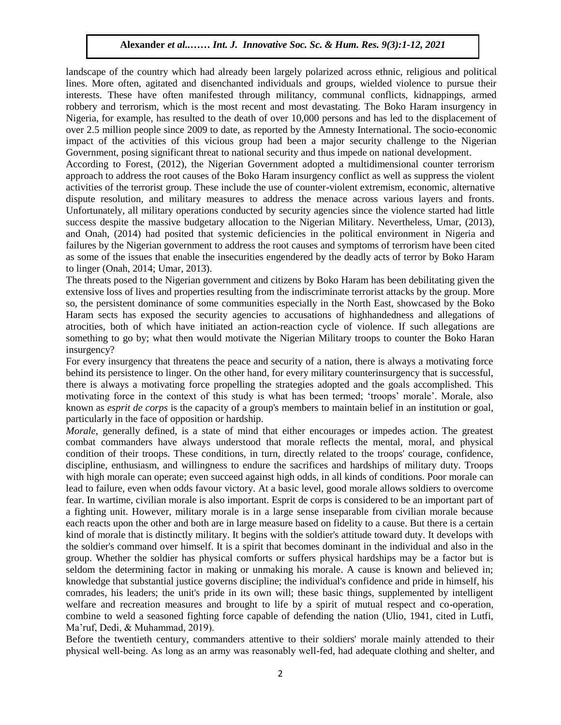landscape of the country which had already been largely polarized across ethnic, religious and political lines. More often, agitated and disenchanted individuals and groups, wielded violence to pursue their interests. These have often manifested through militancy, communal conflicts, kidnappings, armed robbery and terrorism, which is the most recent and most devastating. The Boko Haram insurgency in Nigeria, for example, has resulted to the death of over 10,000 persons and has led to the displacement of over 2.5 million people since 2009 to date, as reported by the Amnesty International. The socio-economic impact of the activities of this vicious group had been a major security challenge to the Nigerian Government, posing significant threat to national security and thus impede on national development.

According to Forest, (2012), the Nigerian Government adopted a multidimensional counter terrorism approach to address the root causes of the Boko Haram insurgency conflict as well as suppress the violent activities of the terrorist group. These include the use of counter-violent extremism, economic, alternative dispute resolution, and military measures to address the menace across various layers and fronts. Unfortunately, all military operations conducted by security agencies since the violence started had little success despite the massive budgetary allocation to the Nigerian Military. Nevertheless, Umar, (2013), and Onah, (2014) had posited that systemic deficiencies in the political environment in Nigeria and failures by the Nigerian government to address the root causes and symptoms of terrorism have been cited rantifies by the integritant government to address the root causes and symptoms of terror sin have been cited<br>as some of the issues that enable the insecurities engendered by the deadly acts of terror by Boko Haram to linger (Onah, 2014; Umar, 2013).

The threats posed to the Nigerian government and citizens by Boko Haram has been debilitating given the extensive loss of lives and properties resulting from the indiscriminate terrorist attacks by the group. More so, the persistent dominance of some communities especially in the North East, showcased by the Boko Haram sects has exposed the security agencies to accusations of highhandedness and allegations of atrocities, both of which have initiated an action-reaction cycle of violence. If such allegations are arroething to go by; what then would motivate the Nigerian Military troops to counter the Boko Haran something to go by; what then would motivate the Nigerian Military troops to counter the Boko Haran insurgency?

For every insurgency that threatens the peace and security of a nation, there is always a motivating force behind its persistence to linger. On the other hand, for every military counterinsurgency that is successful, there is always a motivating force propelling the strategies adopted and the goals accomplished. This motivating force in the context of this study is what has been termed; 'troops' morale'. Morale, also known as *esprit de corps* is the capacity of a group's members to maintain belief in an institution or goal, particularly in the face of opposition or hardship.

*Morale*, generally defined, is a state of mind that either encourages or impedes action. The greatest combat commanders have always understood that morale reflects the mental, moral, and physical condition of their troops. These conditions, in turn, directly related to the troops' courage, confidence, discipline, enthusiasm, and willingness to endure the sacrifices and hardships of military duty. Troops with high morale can operate; even succeed against high odds, in all kinds of conditions. Poor morale can lead to failure, even when odds favour victory. At a basic level, good morale allows soldiers to overcome fear. In wartime, civilian morale is also important. Esprit de corps is considered to be an important part of a fighting unit. However, military morale is in a large sense inseparable from civilian morale because each reacts upon the other and both are in large measure based on fidelity to a cause. But there is a certain kind of morale that is distinctly military. It begins with the soldier's attitude toward duty. It develops with the soldier's command over himself. It is a spirit that becomes dominant in the individual and also in the group. Whether the soldier has physical comforts or suffers physical hardships may be a factor but is seldom the determining factor in making or unmaking his morale. A cause is known and believed in; knowledge that substantial justice governs discipline; the individual's confidence and pride in himself, his comrades, his leaders; the unit's pride in its own will; these basic things, supplemented by intelligent welfare and recreation measures and brought to life by a spirit of mutual respect and co-operation, combine to weld a seasoned fighting force capable of defending the nation (Ulio, 1941, cited in Lutfi, Ma'ruf, Dedi, & Muhammad, 2019).

Before the twentieth century, commanders attentive to their soldiers' morale mainly attended to their physical well‐being. As long as an army was reasonably well-fed, had adequate clothing and shelter, and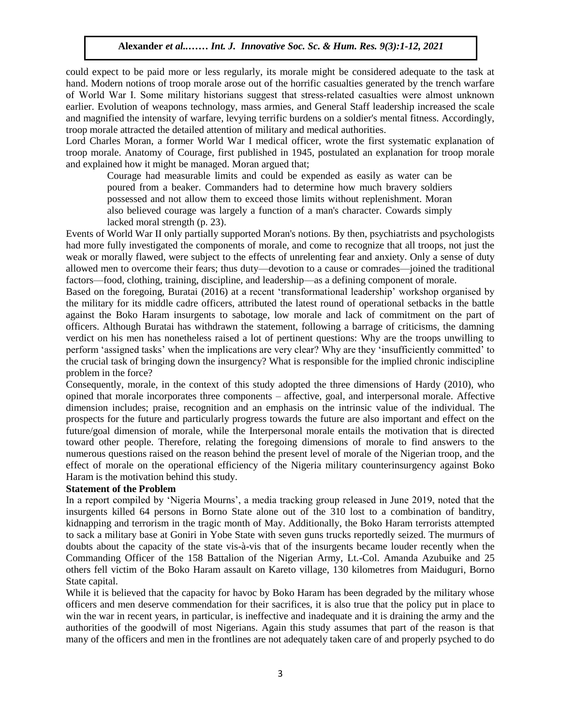could expect to be paid more or less regularly, its morale might be considered adequate to the task at hand. Modern notions of troop morale arose out of the horrific casualties generated by the trench warfare of World War I. Some military historians suggest that stress‐related casualties were almost unknown earlier. Evolution of weapons technology, mass armies, and General Staff leadership increased the scale and magnified the intensity of warfare, levying terrific burdens on a soldier's mental fitness. Accordingly, troop morale attracted the detailed attention of military and medical authorities.

Lord Charles Moran, a former World War I medical officer, wrote the first systematic explanation of troop morale. Anatomy of Courage, first published in 1945, postulated an explanation for troop morale and explained how it might be managed. Moran argued that;

plant of the managed. Moral argued that,<br>Courage had measurable limits and could be expended as easily as water can be poured from a beaker. Commanders had to determine how much bravery soldiers possessed and not allow them to exceed those limits without replenishment. Moran also believed courage was largely a function of a man's character. Cowards simply lacked moral strength (p. 23).

Events of World War II only partially supported Moran's notions. By then, psychiatrists and psychologists had more fully investigated the components of morale, and come to recognize that all troops, not just the mad more rany investigated the components or morale, and come to recognize that an abops, not just the weak or morally flawed, were subject to the effects of unrelenting fear and anxiety. Only a sense of duty allowed men to overcome their fears; thus duty—devotion to a cause or comrades—joined the traditional factors—food, clothing, training, discipline, and leadership—as a defining component of morale.

Based on the foregoing, Buratai (2016) at a recent 'transformational leadership' workshop organised by the military for its middle cadre officers, attributed the latest round of operational setbacks in the battle against the Boko Haram insurgents to sabotage, low morale and lack of commitment on the part of officers. Although Buratai has withdrawn the statement, following a barrage of criticisms, the damning verdict on his men has nonetheless raised a lot of pertinent questions: Why are the troops unwilling to verdict on his men has nonetheless raised a lot of pertinent questions: Why are the troops unwilling to perform 'assigned tasks' when the implications are very clear? Why are they 'insufficiently committed' to the crucial task of bringing down the insurgency? What is responsible for the implied chronic indiscipline problem in the force?

Consequently, morale, in the context of this study adopted the three dimensions of Hardy (2010), who opined that morale incorporates three components – affective, goal, and interpersonal morale. Affective dimension includes; praise, recognition and an emphasis on the intrinsic value of the individual. The prospects for the future and particularly progress towards the future are also important and effect on the future/goal dimension of morale, while the Interpersonal morale entails the motivation that is directed toward other people. Therefore, relating the foregoing dimensions of morale to find answers to the numerous questions raised on the reason behind the present level of morale of the Nigerian troop, and the effect of morale on the operational efficiency of the Nigeria military counterinsurgency against Boko Haram is the motivation behind this study.

#### **Statement of the Problem**

In a report compiled by 'Nigeria Mourns', a media tracking group released in June 2019, noted that the insurgents killed 64 persons in Borno State alone out of the 310 lost to a combination of banditry, kidnapping and terrorism in the tragic month of May. Additionally, the Boko Haram terrorists attempted to sack a military base at Goniri in Yobe State with seven guns trucks reportedly seized. The murmurs of doubts about the capacity of the state vis-à-vis that of the insurgents became louder recently when the Commanding Officer of the 158 Battalion of the Nigerian Army, Lt.-Col. Amanda Azubuike and 25 others fell victim of the Boko Haram assault on Kareto village, 130 kilometres from Maiduguri, Borno State capital.

While it is believed that the capacity for havoc by Boko Haram has been degraded by the military whose officers and men deserve commendation for their sacrifices, it is also true that the policy put in place to win the war in recent years, in particular, is ineffective and inadequate and it is draining the army and the authorities of the goodwill of most Nigerians. Again this study assumes that part of the reason is that many of the officers and men in the frontlines are not adequately taken care of and properly psyched to do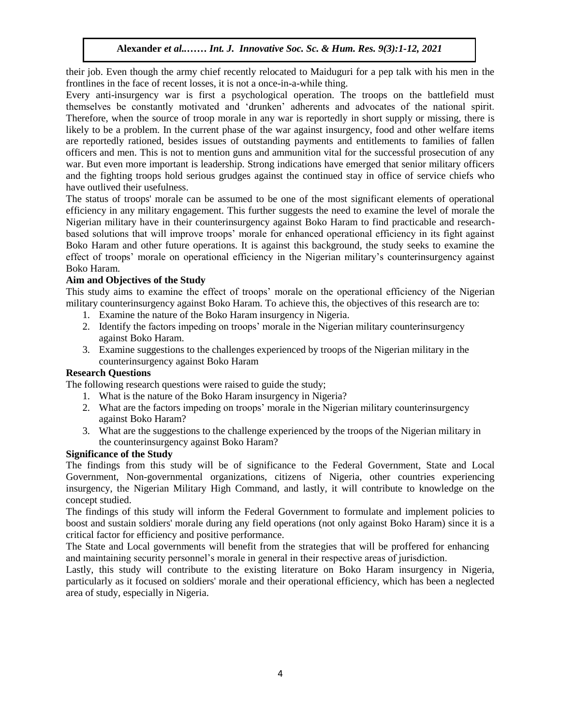their job. Even though the army chief recently relocated to Maiduguri for a pep talk with his men in the frontlines in the face of recent losses, it is not a once-in-a-while thing.

Holding in the race of recent losses, it is not a once-in-a-will diffuse.<br>Every anti-insurgency war is first a psychological operation. The troops on the battlefield must themselves be constantly motivated and 'drunken' adherents and advocates of the national spirit. Therefore, when the source of troop morale in any war is reportedly in short supply or missing, there is likely to be a problem. In the current phase of the war against insurgency, food and other welfare items are reportedly rationed, besides issues of outstanding payments and entitlements to families of fallen officers and men. This is not to mention guns and ammunition vital for the successful prosecution of any war. But even more important is leadership. Strong indications have emerged that senior military officers and the fighting troops hold serious grudges against the continued stay in office of service chiefs who experience of service chiefs who have outlived their usefulness.

The status of troops' morale can be assumed to be one of the most significant elements of operational efficiency in any military engagement. This further suggests the need to examine the level of morale the Nigerian military have in their counterinsurgency against Boko Haram to find practicable and researchbased solutions that will improve troops' morale for enhanced operational efficiency in its fight against Boko Haram and other future operations. It is against this background, the study seeks to examine the effect of troops' morale on operational efficiency in the Nigerian military's counterinsurgency against Boko Haram.

# **Aim and Objectives of the Study**

This study aims to examine the effect of troops' morale on the operational efficiency of the Nigerian military counterinsurgency against Boko Haram. To achieve this, the objectives of this research are to:

- 1. Examine the nature of the Boko Haram insurgency in Nigeria.
- 2. Identify the factors impeding on troops' morale in the Nigerian military counterinsurgency against Boko Haram.
- 3. Examine suggestions to the challenges experienced by troops of the Nigerian military in the counterinsurgency against Boko Haram

# **Research Questions**

The following research questions were raised to guide the study;

- 1. What is the nature of the Boko Haram insurgency in Nigeria?
- 2. What are the factors impeding on troops' morale in the Nigerian military counterinsurgency against Boko Haram?
- 3. What are the suggestions to the challenge experienced by the troops of the Nigerian military in the counterinsurgency against Boko Haram?

# **Significance of the Study**

The findings from this study will be of significance to the Federal Government, State and Local Government, Non-governmental organizations, citizens of Nigeria, other countries experiencing insurgency, the Nigerian Military High Command, and lastly, it will contribute to knowledge on the concept studied.

The findings of this study will inform the Federal Government to formulate and implement policies to boost and sustain soldiers' morale during any field operations (not only against Boko Haram) since it is a critical factor for efficiency and positive performance.

The State and Local governments will benefit from the strategies that will be proffered for enhancing and maintaining security personnel's morale in general in their respective areas of jurisdiction.

Lastly, this study will contribute to the existing literature on Boko Haram insurgency in Nigeria, particularly as it focused on soldiers' morale and their operational efficiency, which has been a neglected area of study, especially in Nigeria.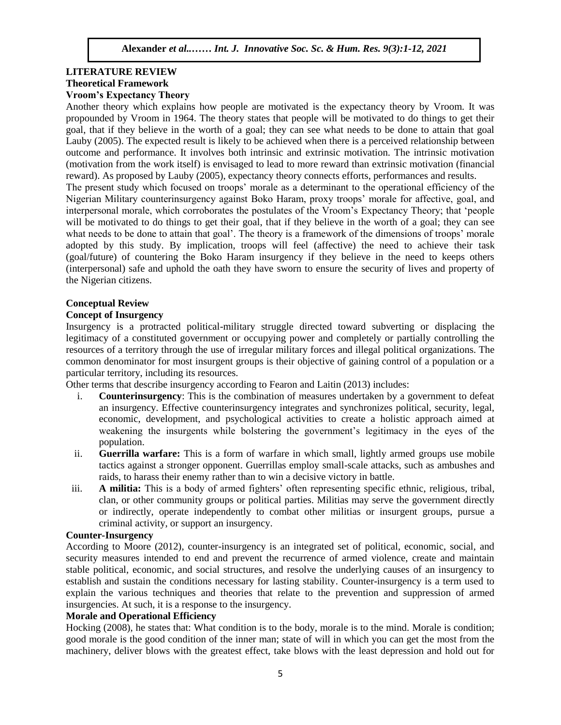# **LITERATURE REVIEW Theoretical Framework Theoretical Framework**<br>Vroom's Expectancy Theory

Another theory which explains how people are motivated is the expectancy theory by Vroom. It was propounded by Vroom in 1964. The theory states that people will be motivated to do things to get their goal, that if they believe in the worth of a goal; they can see what needs to be done to attain that goal Lauby (2005). The expected result is likely to be achieved when there is a perceived relationship between outcome and performance. It involves both intrinsic and extrinsic motivation. The intrinsic motivation (motivation from the work itself) is envisaged to lead to more reward than extrinsic motivation (financial reward). As proposed by Lauby (2005), expectancy theory connects efforts, performances and results.

The present study which focused on troops' morale as a determinant to the operational efficiency of the Nigerian Military counterinsurgency against Boko Haram, proxy troops' morale for affective, goal, and interpersonal morale, which corroborates the postulates of the Vroom's Expectancy Theory; that 'people will be motivated to do things to get their goal, that if they believe in the worth of a goal; they can see what needs to be done to attain that goal'. The theory is a framework of the dimensions of troops' morale adopted by this study. By implication, troops will feel (affective) the need to achieve their task (goal/future) of countering the Boko Haram insurgency if they believe in the need to keeps others (interpersonal) safe and uphold the oath they have sworn to ensure the security of lives and property of the Nigerian citizens.

#### **Conceptual Review** Arugu & Wosu …… Int. J. Innovative Soc. Sc. & Hum. Res. 8(1):1-11, 2020

# **Concept of Insurgency**

Insurgency is a protracted political-military struggle directed toward subverting or displacing the legitimacy of a constituted government or occupying power and completely or partially controlling the resources of a territory through the use of irregular military forces and illegal political organizations. The common denominator for most insurgent groups is their objective of gaining control of a population or a particular territory, including its resources.

Other terms that describe insurgency according to Fearon and Laitin (2013) includes:

- i. **Counterinsurgency**: This is the combination of measures undertaken by a government to defeat an insurgency. Effective counterinsurgency integrates and synchronizes political, security, legal, economic, development, and psychological activities to create a holistic approach aimed at weakening the insurgents while bolstering the government's legitimacy in the eyes of the population.
- ii. **Guerrilla warfare:** This is a form of warfare in which small, lightly armed groups use mobile tactics against a stronger opponent. Guerrillas employ small-scale attacks, such as ambushes and raids, to harass their enemy rather than to win a decisive victory in battle.
- iii. **A militia:** This is a body of armed fighters' often representing specific ethnic, religious, tribal, clan, or other community groups or political parties. Militias may serve the government directly or indirectly, operate independently to combat other militias or insurgent groups, pursue a criminal activity, or support an insurgency.

# **Counter-Insurgency**

According to Moore (2012), counter-insurgency is an integrated set of political, economic, social, and security measures intended to end and prevent the recurrence of armed violence, create and maintain stable political, economic, and social structures, and resolve the underlying causes of an insurgency to establish and sustain the conditions necessary for lasting stability. Counter-insurgency is a term used to explain the various techniques and theories that relate to the prevention and suppression of armed insurgencies. At such, it is a response to the insurgency.

# **Morale and Operational Efficiency**

Hocking (2008), he states that: What condition is to the body, morale is to the mind. Morale is condition; good morale is the good condition of the inner man; state of will in which you can get the most from the machinery, deliver blows with the greatest effect, take blows with the least depression and hold out for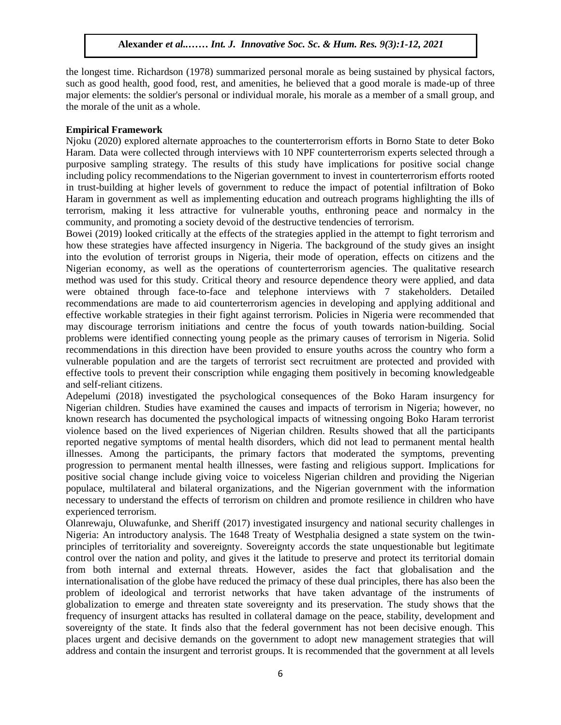the longest time. Richardson (1978) summarized personal morale as being sustained by physical factors, such as good health, good food, rest, and amenities, he believed that a good morale is made-up of three major elements: the soldier's personal or individual morale, his morale as a member of a small group, and the morale of the unit as a whole.

# **Empirical Framework**

Njoku (2020) explored alternate approaches to the counterterrorism efforts in Borno State to deter Boko Haram. Data were collected through interviews with 10 NPF counterterrorism experts selected through a purposive sampling strategy. The results of this study have implications for positive social change including policy recommendations to the Nigerian government to invest in counterterrorism efforts rooted in trust-building at higher levels of government to reduce the impact of potential infiltration of Boko Haram in government as well as implementing education and outreach programs highlighting the ills of terrorism, making it less attractive for vulnerable youths, enthroning peace and normalcy in the community, and promoting a society devoid of the destructive tendencies of terrorism.

Bowei (2019) looked critically at the effects of the strategies applied in the attempt to fight terrorism and how these strategies have affected insurgency in Nigeria. The background of the study gives an insight into the evolution of terrorist groups in Nigeria, their mode of operation, effects on citizens and the Nigerian economy, as well as the operations of counterterrorism agencies. The qualitative research method was used for this study. Critical theory and resource dependence theory were applied, and data were obtained through face-to-face and telephone interviews with 7 stakeholders. Detailed recommendations are made to aid counterterrorism agencies in developing and applying additional and effective workable strategies in their fight against terrorism. Policies in Nigeria were recommended that may discourage terrorism initiations and centre the focus of youth towards nation-building. Social may discourage terrorism initiations and centre the focus of yourn towards nation-building. Social problems were identified connecting young people as the primary causes of terrorism in Nigeria. Solid recommendations in this direction have been provided to ensure youths across the country who form a vulnerable population and are the targets of terrorist sect recruitment are protected and provided with effective tools to prevent their conscription while engaging them positively in becoming knowledgeable and self-reliant citizens.

Adepelumi (2018) investigated the psychological consequences of the Boko Haram insurgency for Nigerian children. Studies have examined the causes and impacts of terrorism in Nigeria; however, no known research has documented the psychological impacts of witnessing ongoing Boko Haram terrorist violence based on the lived experiences of Nigerian children. Results showed that all the participants reported negative symptoms of mental health disorders, which did not lead to permanent mental health illnesses. Among the participants, the primary factors that moderated the symptoms, preventing progression to permanent mental health illnesses, were fasting and religious support. Implications for positive social change include giving voice to voiceless Nigerian children and providing the Nigerian populace, multilateral and bilateral organizations, and the Nigerian government with the information necessary to understand the effects of terrorism on children and promote resilience in children who have experienced terrorism.

Olanrewaju, Oluwafunke, and Sheriff (2017) investigated insurgency and national security challenges in Nigeria: An introductory analysis. The 1648 Treaty of Westphalia designed a state system on the twinprinciples of territoriality and sovereignty. Sovereignty accords the state unquestionable but legitimate control over the nation and polity, and gives it the latitude to preserve and protect its territorial domain from both internal and external threats. However, asides the fact that globalisation and the internationalisation of the globe have reduced the primacy of these dual principles, there has also been the problem of ideological and terrorist networks that have taken advantage of the instruments of globalization to emerge and threaten state sovereignty and its preservation. The study shows that the frequency of insurgent attacks has resulted in collateral damage on the peace, stability, development and sovereignty of the state. It finds also that the federal government has not been decisive enough. This places urgent and decisive demands on the government to adopt new management strategies that will address and contain the insurgent and terrorist groups. It is recommended that the government at all levels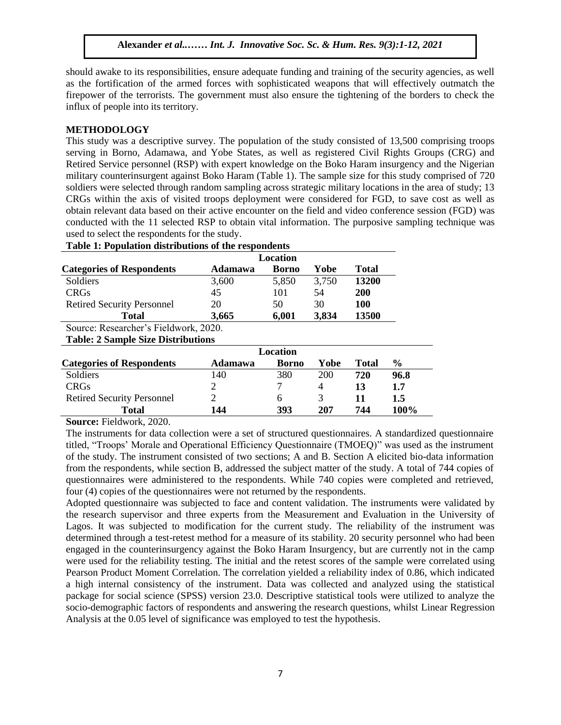should awake to its responsibilities, ensure adequate funding and training of the security agencies, as well as the fortification of the armed forces with sophisticated weapons that will effectively outmatch the firepower of the terrorists. The government must also ensure the tightening of the borders to check the influx of people into its territory.

# **METHODOLOGY**

This study was a descriptive survey. The population of the study consisted of 13,500 comprising troops serving in Borno, Adamawa, and Yobe States, as well as registered Civil Rights Groups (CRG) and Retired Service personnel (RSP) with expert knowledge on the Boko Haram insurgency and the Nigerian military counterinsurgent against Boko Haram (Table 1). The sample size for this study comprised of 720 soldiers were selected through random sampling across strategic military locations in the area of study; 13 CRGs within the axis of visited troops deployment were considered for FGD, to save cost as well as obtain relevant data based on their active encounter on the field and video conference session (FGD) was conducted with the 11 selected RSP to obtain vital information. The purposive sampling technique was used to select the respondents for the study.

| Location                                  |              |                                                                  |              |             |  |  |  |  |
|-------------------------------------------|--------------|------------------------------------------------------------------|--------------|-------------|--|--|--|--|
| <b>Adamawa</b>                            | <b>Borno</b> | Yobe                                                             | <b>Total</b> |             |  |  |  |  |
| 3,600                                     | 5,850        | 3,750                                                            | 13200        |             |  |  |  |  |
| 45                                        | 101          | 54                                                               | <b>200</b>   |             |  |  |  |  |
| 20                                        | 50           | 30                                                               | 100          |             |  |  |  |  |
| 3,665                                     | 6,001        | 3,834                                                            | 13500        |             |  |  |  |  |
| Source: Researcher's Fieldwork, 2020.     |              |                                                                  |              |             |  |  |  |  |
| <b>Table: 2 Sample Size Distributions</b> |              |                                                                  |              |             |  |  |  |  |
|                                           |              |                                                                  |              |             |  |  |  |  |
| Adamawa                                   | <b>Borno</b> | Yobe                                                             | <b>Total</b> | $\%$        |  |  |  |  |
| 140                                       | 380          | 200                                                              | 720          | 96.8        |  |  |  |  |
| 2                                         | 7            | 4                                                                | 13           | 1.7         |  |  |  |  |
| $\mathcal{D}$                             | 6            | 3                                                                | 11           | 1.5         |  |  |  |  |
| 144                                       | 393          | 207                                                              | 744          | <b>100%</b> |  |  |  |  |
|                                           |              | Table 1: Population distributions of the respondents<br>Location |              |             |  |  |  |  |

**Source:** Fieldwork, 2020.

The instruments for data collection were a set of structured questionnaires. A standardized questionnaire titled, "Troops' Morale and Operational Efficiency Questionnaire (TMOEQ)" was used as the instrument of the study. The instrument consisted of two sections; A and B. Section A elicited bio-data information from the respondents, while section B, addressed the subject matter of the study. A total of 744 copies of questionnaires were administered to the respondents. While 740 copies were completed and retrieved, four (4) copies of the questionnaires were not returned by the respondents.

Adopted questionnaire was subjected to face and content validation. The instruments were validated by the research supervisor and three experts from the Measurement and Evaluation in the University of Lagos. It was subjected to modification for the current study. The reliability of the instrument was determined through a test-retest method for a measure of its stability. 20 security personnel who had been engaged in the counterinsurgency against the Boko Haram Insurgency, but are currently not in the camp were used for the reliability testing. The initial and the retest scores of the sample were correlated using Pearson Product Moment Correlation. The correlation yielded a reliability index of 0.86, which indicated a high internal consistency of the instrument. Data was collected and analyzed using the statistical package for social science (SPSS) version 23.0. Descriptive statistical tools were utilized to analyze the socio-demographic factors of respondents and answering the research questions, whilst Linear Regression Analysis at the 0.05 level of significance was employed to test the hypothesis.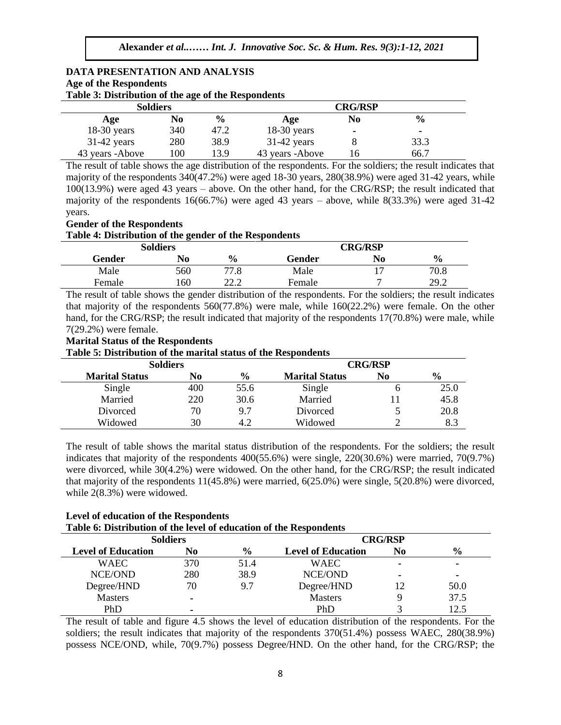# **DATA PRESENTATION AND ANALYSIS Age of the Respondents** Age or the <del>R</del>espondents<br>Table 3: Distribution of the age of the Respondents

| <b>Soldiers</b> |     |               |                  | <b>CRG/RSP</b> |               |  |  |  |  |
|-----------------|-----|---------------|------------------|----------------|---------------|--|--|--|--|
| Age             | No  | $\frac{6}{9}$ | Age              | No             | $\frac{6}{9}$ |  |  |  |  |
| $18-30$ years   | 340 | 47.2          | $18-30$ years    | ۰              |               |  |  |  |  |
| $31-42$ years   | 280 | 38.9          | $31-42$ years    |                | 33.3          |  |  |  |  |
| 43 years -Above | 100 | 13.9          | 43 years - Above |                | 66.7          |  |  |  |  |

The result of table shows the age distribution of the respondents. For the soldiers; the result indicates that  $\frac{131}{100}$ majority of the respondents 340(47.2%) were aged 18-30 years, 280(38.9%) were aged 31-42 years, while 100(13.9%) were aged 43 years – above. On the other hand, for the CRG/RSP; the result indicated that majority of the respondents 16(66.7%) were aged 43 years – above, while 8(33.3%) were aged 31-42 years.

### **Gender of the Respondents**

#### **Table 4: Distribution of the gender of the Respondents**

|        | $\tilde{\phantom{a}}$<br><b>Soldiers</b> |               | <b>CRG/RSP</b> |    |               |  |  |
|--------|------------------------------------------|---------------|----------------|----|---------------|--|--|
| Gender | No                                       | $\frac{6}{9}$ | Gender         | No | $\frac{6}{9}$ |  |  |
| Male   | 560                                      | 77.8          | Male           |    | 70.8          |  |  |
| Female | .60                                      | າາ າ          | Female         | −  | 202<br>41.L   |  |  |

The result of table shows the gender distribution of the respondents. For the soldiers; the result indicates that majority of the respondents 560(77.8%) were male, while 160(22.2%) were female. On the other hand, for the CRG/RSP; the result indicated that majority of the respondents 17(70.8%) were male, while 7(29.2%) were female.

# *A*(2*2.276)* were remare.<br>**Marital Status of the Respondents**

**Table 5: Distribution of the marital status of the Respondents**

| <b>Soldiers</b>       |     |               | <b>CRG/RSP</b>        |    |      |  |  |
|-----------------------|-----|---------------|-----------------------|----|------|--|--|
| <b>Marital Status</b> | No  | $\frac{6}{9}$ | <b>Marital Status</b> | No | $\%$ |  |  |
| Single                | 400 | 55.6          | Single                |    | 25.0 |  |  |
| Married               | 220 | 30.6          | Married               |    | 45.8 |  |  |
| Divorced              | 70  | 9.7           | Divorced              |    | 20.8 |  |  |
| Widowed               | 30  | 4.2           | Widowed               |    | 8.3  |  |  |

The result of table shows the marital status distribution of the respondents. For the soldiers; the result indicates that majority of the respondents 400(55.6%) were single, 220(30.6%) were married, 70(9.7%) were divorced, while 30(4.2%) were widowed. On the other hand, for the CRG/RSP; the result indicated that majority of the respondents 11(45.8%) were married, 6(25.0%) were single, 5(20.8%) were divorced, while 2(8.3%) were widowed.

| <b>Level of education of the Respondents</b>                       |
|--------------------------------------------------------------------|
| Table 6: Distribution of the level of education of the Respondents |

| AWAY VI D'ADRIADWYDAI OL MAY IVTYL OL YMWYMYLOAL OL MAY AWDDOLIWYAIND |                 |                |                           |    |               |  |  |  |  |
|-----------------------------------------------------------------------|-----------------|----------------|---------------------------|----|---------------|--|--|--|--|
|                                                                       | <b>Soldiers</b> |                | <b>CRG/RSP</b>            |    |               |  |  |  |  |
| <b>Level of Education</b>                                             | No              | $\frac{6}{10}$ | <b>Level of Education</b> | No | $\frac{6}{6}$ |  |  |  |  |
| <b>WAEC</b>                                                           | 370             | 51.4           | <b>WAEC</b>               |    |               |  |  |  |  |
| NCE/OND                                                               | 280             | 38.9           | <b>NCE/OND</b>            |    |               |  |  |  |  |
| Degree/HND                                                            | 70              | 9.7            | Degree/HND                |    | 50.0          |  |  |  |  |
| <b>Masters</b>                                                        |                 |                | <b>Masters</b>            |    | 37.5          |  |  |  |  |
| PhD                                                                   | ۰               |                | PhD                       |    | 12.5          |  |  |  |  |

The result of table and figure 4.5 shows the level of education distribution of the respondents. For the soldiers; the result indicates that majority of the respondents 370(51.4%) possess WAEC, 280(38.9%) possess NCE/OND, while, 70(9.7%) possess Degree/HND. On the other hand, for the CRG/RSP; the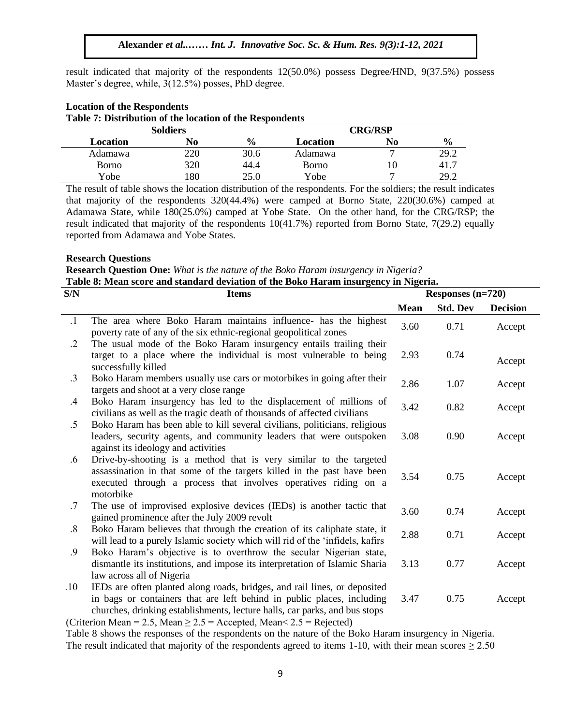result indicated that majority of the respondents 12(50.0%) possess Degree/HND, 9(37.5%) possess Master's degree, while, 3(12.5%) posses, PhD degree.

| Table 7: Distribution of the location of the Respondents |                 |                |              |    |               |  |  |  |  |
|----------------------------------------------------------|-----------------|----------------|--------------|----|---------------|--|--|--|--|
|                                                          | <b>Soldiers</b> | <b>CRG/RSP</b> |              |    |               |  |  |  |  |
| Location                                                 | No              | $\frac{6}{9}$  | Location     | No | $\frac{6}{9}$ |  |  |  |  |
| Adamawa                                                  | 220             | 30.6           | Adamawa      |    | 29.2          |  |  |  |  |
| Borno                                                    | 320             | 44.4           | <b>Borno</b> |    | 41.7          |  |  |  |  |
| Yobe                                                     | 180             | 25.0           | Yobe         |    | 29.2          |  |  |  |  |

# **Location of the Respondents Table 7: Distribution of the location of the Respondents**

The result of table shows the location distribution of the respondents. For the soldiers; the result indicates that majority of the respondents 320(44.4%) were camped at Borno State, 220(30.6%) camped at Adamawa State, while  $180(25.0%)$  camped at Yobe State. On the other hand, for the CRG/RSP; the result indicated that majority of the respondents 10(41.7%) reported from Borno State, 7(29.2) equally reported from Adamawa and Yobe States.

#### **Research Questions**  $\mathcal{A}$

**Research Question One:** *What is the nature of the Boko Haram insurgency in Nigeria?*

**Table 8: Mean score and standard deviation of the Boko Haram insurgency in Nigeria.**

| S/N               | <b>Items</b>                                                                                                                                                                                                                      | Responses $(n=720)$ |                 |                 |  |  |
|-------------------|-----------------------------------------------------------------------------------------------------------------------------------------------------------------------------------------------------------------------------------|---------------------|-----------------|-----------------|--|--|
|                   |                                                                                                                                                                                                                                   | <b>Mean</b>         | <b>Std. Dev</b> | <b>Decision</b> |  |  |
| $\cdot$ 1         | The area where Boko Haram maintains influence- has the highest<br>poverty rate of any of the six ethnic-regional geopolitical zones                                                                                               | 3.60                | 0.71            | Accept          |  |  |
| $\cdot$ .2        | The usual mode of the Boko Haram insurgency entails trailing their<br>target to a place where the individual is most vulnerable to being<br>successfully killed                                                                   | 2.93                | 0.74            | Accept          |  |  |
| $\cdot$ 3         | Boko Haram members usually use cars or motorbikes in going after their<br>targets and shoot at a very close range                                                                                                                 | 2.86                | 1.07            | Accept          |  |  |
| $\cdot$           | Boko Haram insurgency has led to the displacement of millions of<br>civilians as well as the tragic death of thousands of affected civilians                                                                                      | 3.42                | 0.82            | Accept          |  |  |
| $.5\,$            | Boko Haram has been able to kill several civilians, politicians, religious<br>leaders, security agents, and community leaders that were outspoken<br>against its ideology and activities                                          | 3.08                | 0.90            | Accept          |  |  |
| .6                | Drive-by-shooting is a method that is very similar to the targeted<br>assassination in that some of the targets killed in the past have been<br>executed through a process that involves operatives riding on a<br>motorbike      | 3.54                | 0.75            | Accept          |  |  |
| .7                | The use of improvised explosive devices (IEDs) is another tactic that<br>gained prominence after the July 2009 revolt                                                                                                             | 3.60                | 0.74            | Accept          |  |  |
| $\boldsymbol{.8}$ | Boko Haram believes that through the creation of its caliphate state, it<br>will lead to a purely Islamic society which will rid of the 'infidels, kafirs                                                                         | 2.88                | 0.71            | Accept          |  |  |
| .9                | Boko Haram's objective is to overthrow the secular Nigerian state,<br>dismantle its institutions, and impose its interpretation of Islamic Sharia<br>law across all of Nigeria                                                    | 3.13                | 0.77            | Accept          |  |  |
| .10               | IEDs are often planted along roads, bridges, and rail lines, or deposited<br>in bags or containers that are left behind in public places, including<br>churches, drinking establishments, lecture halls, car parks, and bus stops | 3.47                | 0.75            | Accept          |  |  |

(Criterion Mean = 2.5, Mean  $\geq$  2.5 = Accepted, Mean < 2.5 = Rejected)

Table 8 shows the responses of the respondents on the nature of the Boko Haram insurgency in Nigeria. The result indicated that majority of the respondents agreed to items 1-10, with their mean scores  $\geq 2.50$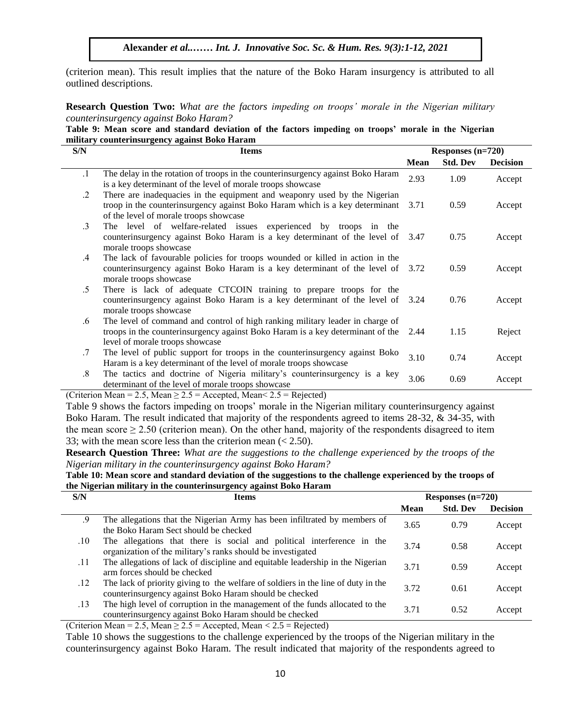(criterion mean). This result implies that the nature of the Boko Haram insurgency is attributed to all outlined descriptions.  $\alpha$  are  $\alpha$  in  $\alpha$  in  $\alpha$ . Such provide  $\alpha$ .

**Research Question Two:** *What are the factors impeding on troops' morale in the Nigerian military counterinsurgency against Boko Haram?*

|  |  |                                               |  | Table 9: Mean score and standard deviation of the factors impeding on troops' morale in the Nigerian |  |  |  |
|--|--|-----------------------------------------------|--|------------------------------------------------------------------------------------------------------|--|--|--|
|  |  | military counterinsurgency against Boko Haram |  |                                                                                                      |  |  |  |

| S/N           | <b>Items</b>                                                                                                                                                                                             | Responses $(n=720)$ |                 |                 |  |
|---------------|----------------------------------------------------------------------------------------------------------------------------------------------------------------------------------------------------------|---------------------|-----------------|-----------------|--|
|               |                                                                                                                                                                                                          | Mean                | <b>Std. Dev</b> | <b>Decision</b> |  |
| $\cdot$ 1     | The delay in the rotation of troops in the counterinsurgency against Boko Haram<br>is a key determinant of the level of morale troops showcase                                                           | 2.93                | 1.09            | Accept          |  |
| $\cdot$ .2    | There are inadequacies in the equipment and weaponry used by the Nigerian<br>troop in the counterinsurgency against Boko Haram which is a key determinant 3.71<br>of the level of morale troops showcase |                     | 0.59            | Accept          |  |
| $\cdot$ 3     | The level of welfare-related issues experienced by troops in the<br>counterinsurgency against Boko Haram is a key determinant of the level of 3.47<br>morale troops showcase                             |                     | 0.75            | Accept          |  |
| $.4\,$        | The lack of favourable policies for troops wounded or killed in action in the<br>counterinsurgency against Boko Haram is a key determinant of the level of<br>morale troops showcase                     | 3.72                | 0.59            | Accept          |  |
| $.5\,$        | There is lack of adequate CTCOIN training to prepare troops for the<br>counterinsurgency against Boko Haram is a key determinant of the level of 3.24<br>morale troops showcase                          |                     | 0.76            | Accept          |  |
| .6            | The level of command and control of high ranking military leader in charge of<br>troops in the counterinsurgency against Boko Haram is a key determinant of the 2.44<br>level of morale troops showcase  |                     | 1.15            | Reject          |  |
| $.7\,$        | The level of public support for troops in the counterinsurgency against Boko<br>Haram is a key determinant of the level of morale troops showcase                                                        | 3.10                | 0.74            | Accept          |  |
| $.8\,$        | The tactics and doctrine of Nigeria military's counterinsurgency is a key<br>determinant of the level of morale troops showcase                                                                          | 3.06                | 0.69            | Accept          |  |
| $\sim$ $\sim$ | $\alpha \in M$ , $\alpha \in M$ , $\alpha \in M$ , $\alpha \in M$ , $\alpha \in M$<br>$\mathbf{r}$                                                                                                       |                     |                 |                 |  |

(Criterion Mean = 2.5, Mean  $\geq$  2.5 = Accepted, Mean  $\leq$  2.5 = Rejected)

Table 9 shows the factors impeding on troops' morale in the Nigerian military counterinsurgency against Boko Haram. The result indicated that majority of the respondents agreed to items 28-32, & 34-35, with the mean score  $\geq 2.50$  (criterion mean). On the other hand, majority of the respondents disagreed to item 33; with the mean score less than the criterion mean  $( $2.50$ ).$ 

**Research Question Three:** *What are the suggestions to the challenge experienced by the troops of the Nigerian military in the counterinsurgency against Boko Haram?*

**Table 10: Mean score and standard deviation of the suggestions to the challenge experienced by the troops of the Nigerian military in the counterinsurgency against Boko Haram**

| S/N     | <b>Items</b>                                                                                                                                | Responses $(n=720)$ |                 |                 |  |
|---------|---------------------------------------------------------------------------------------------------------------------------------------------|---------------------|-----------------|-----------------|--|
|         |                                                                                                                                             | <b>Mean</b>         | <b>Std. Dev</b> | <b>Decision</b> |  |
| .9      | The allegations that the Nigerian Army has been infiltrated by members of<br>the Boko Haram Sect should be checked                          | 3.65                | 0.79            | Accept          |  |
| $.10\,$ | The allegations that there is social and political interference in the<br>organization of the military's ranks should be investigated       | 3.74                | 0.58            | Accept          |  |
| .11     | The allegations of lack of discipline and equitable leadership in the Nigerian<br>arm forces should be checked                              | 3.71                | 0.59            | Accept          |  |
| .12     | The lack of priority giving to the welfare of soldiers in the line of duty in the<br>counterinsurgency against Boko Haram should be checked | 3.72                | 0.61            | Accept          |  |
| .13     | The high level of corruption in the management of the funds allocated to the<br>counterinsurgency against Boko Haram should be checked      | 3.71                | 0.52            | Accept          |  |

(Criterion Mean = 2.5, Mean  $\geq$  2.5 = Accepted, Mean < 2.5 = Rejected)

Table 10 shows the suggestions to the challenge experienced by the troops of the Nigerian military in the counterinsurgency against Boko Haram. The result indicated that majority of the respondents agreed to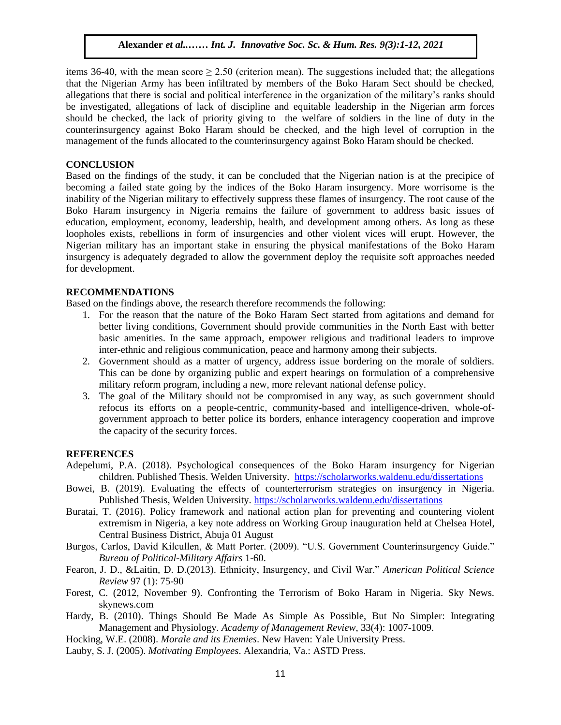items 36-40, with the mean score  $> 2.50$  (criterion mean). The suggestions included that; the allegations that the Nigerian Army has been infiltrated by members of the Boko Haram Sect should be checked, allegations that there is social and political interference in the organization of the military's ranks should be investigated, allegations of lack of discipline and equitable leadership in the Nigerian arm forces should be checked, the lack of priority giving to the welfare of soldiers in the line of duty in the counterinsurgency against Boko Haram should be checked, and the high level of corruption in the management of the funds allocated to the counterinsurgency against Boko Haram should be checked.

#### **CONCLUSION**

Based on the findings of the study, it can be concluded that the Nigerian nation is at the precipice of becoming a failed state going by the indices of the Boko Haram insurgency. More worrisome is the inability of the Nigerian military to effectively suppress these flames of insurgency. The root cause of the Boko Haram insurgency in Nigeria remains the failure of government to address basic issues of education, employment, economy, leadership, health, and development among others. As long as these loopholes exists, rebellions in form of insurgencies and other violent vices will erupt. However, the Nigerian military has an important stake in ensuring the physical manifestations of the Boko Haram Insurgentian initially has an important stake in ensuring the physical manifestations of the Boko Harain insurgency is adequately degraded to allow the government deploy the requisite soft approaches needed for development.  $\text{ALU}$ SIUN $\frac{1}{2}$ 

## **RECOMMENDATIONS**

Based on the findings above, the research therefore recommends the following:

- 1. For the reason that the nature of the Boko Haram Sect started from agitations and demand for better living conditions, Government should provide communities in the North East with better basic amenities. In the same approach, empower religious and traditional leaders to improve inter-ethnic and religious communication, peace and harmony among their subjects.
- 2. Government should as a matter of urgency, address issue bordering on the morale of soldiers. This can be done by organizing public and expert hearings on formulation of a comprehensive military reform program, including a new, more relevant national defense policy.
- 3. The goal of the Military should not be compromised in any way, as such government should refocus its efforts on a people-centric, community-based and intelligence-driven, whole-ofgovernment approach to better police its borders, enhance interagency cooperation and improve the capacity of the security forces.

#### **REFERENCES**

- Adepelumi, P.A. (2018). Psychological consequences of the Boko Haram insurgency for Nigerian children. Published Thesis. Welden University. <https://scholarworks.waldenu.edu/dissertations>
- Bowei, B. (2019). Evaluating the effects of counterterrorism strategies on insurgency in Nigeria. Published Thesis, Welden University.<https://scholarworks.waldenu.edu/dissertations>
- Buratai, T. (2016). Policy framework and national action plan for preventing and countering violent extremism in Nigeria, a key note address on Working Group inauguration held at Chelsea Hotel, Central Business District, Abuja 01 August
- Burgos, Carlos, David Kilcullen, & Matt Porter. (2009). "U.S. Government Counterinsurgency Guide." *Bureau of Political-Military Affairs* 1-60.
- Fearon, J. D., &Laitin, D. D.(2013). Ethnicity, Insurgency, and Civil War." *American Political Science Review* 97 (1): 75-90
- Forest, C. (2012, November 9). Confronting the Terrorism of Boko Haram in Nigeria. Sky News. skynews.com
- Hardy, B. (2010). Things Should Be Made As Simple As Possible, But No Simpler: Integrating Management and Physiology. *Academy of Management Review*, 33(4): 1007-1009.
- Hocking, W.E. (2008). *Morale and its Enemies*. New Haven: Yale University Press.
- Lauby, S. J. (2005). *Motivating Employees*. Alexandria, Va.: ASTD Press.